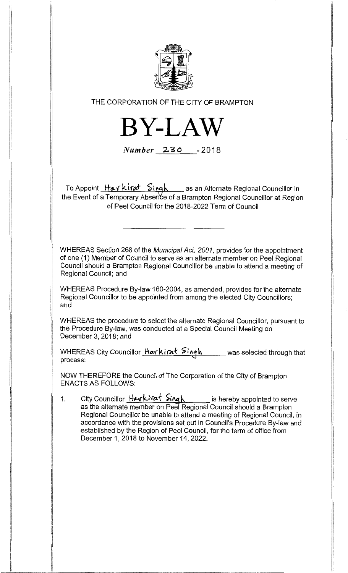

THE CORPORATION OF THE CITY OF BRAMPTON



Number 230 -2018

To Appoint \_<del>Harkirat \_Sirgh</del> \_\_\_\_as an Alternate Regional Councillor in the Event of a Temporary Absence of a Brampton Regional Councillor at Region of Peel Council for the 2018-2022 Term of Council

WHEREAS Section 268 of the Municipal Act, 2001, provides for the appointment of one (1) Member of Council to serve as an alternate member on Peel Regional Council should a Brampton Regional Councillor be unable to attend a meeting of Regional Council; and

WHEREAS Procedure By-law 160-2004, as amended, provides for the alternate Regional Councillor to be appointed from among the elected City Councillors; and

WHEREAS the procedure to select the alternate Regional Councillor, pursuant to the Procedure By-law, was conducted at a Special Council Meeting on December 3, 2018; and

WHEREAS City Councillor **Harkirat Singh** was selected through that process;

NOW THEREFORE the Council of The Corporation of the City of Brampton ENACTS AS FOLLOWS:

 $1<sub>1</sub>$ City Councillor **Harkirat Singh** is hereby appointed to serve as the alternate member on Peel Regional Council should a Brampton Regional Councillor be unable to attend a meeting of Regional Council, in accordance with the provisions set out in Council's Procedure By-law and established by the Region of Peel Council, for the term of office from December 1, 2018 to November 14, 2022.